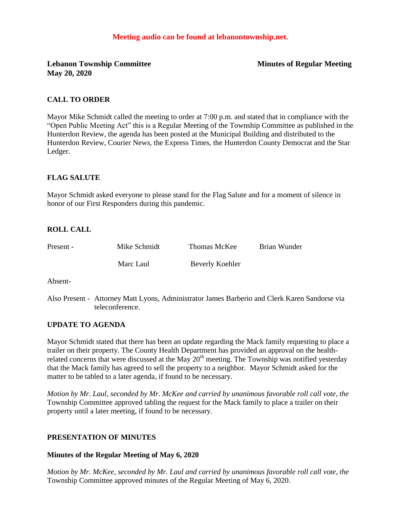### **Meeting audio can be found at lebanontownship.net.**

**Lebanon Township Committee Minutes of Regular Meeting May 20, 2020**

#### **CALL TO ORDER**

Mayor Mike Schmidt called the meeting to order at 7:00 p.m. and stated that in compliance with the "Open Public Meeting Act" this is a Regular Meeting of the Township Committee as published in the Hunterdon Review, the agenda has been posted at the Municipal Building and distributed to the Hunterdon Review, Courier News, the Express Times, the Hunterdon County Democrat and the Star Ledger.

### **FLAG SALUTE**

Mayor Schmidt asked everyone to please stand for the Flag Salute and for a moment of silence in honor of our First Responders during this pandemic.

#### **ROLL CALL**

| Present - | Mike Schmidt | Thomas McKee    | Brian Wunder |
|-----------|--------------|-----------------|--------------|
|           | Marc Laul    | Beverly Koehler |              |

Absent-

Also Present - Attorney Matt Lyons, Administrator James Barberio and Clerk Karen Sandorse via teleconference.

#### **UPDATE TO AGENDA**

Mayor Schmidt stated that there has been an update regarding the Mack family requesting to place a trailer on their property. The County Health Department has provided an approval on the healthrelated concerns that were discussed at the May  $20<sup>th</sup>$  meeting. The Township was notified yesterday that the Mack family has agreed to sell the property to a neighbor. Mayor Schmidt asked for the matter to be tabled to a later agenda, if found to be necessary.

*Motion by Mr. Laul, seconded by Mr. McKee and carried by unanimous favorable roll call vote, the* Township Committee approved tabling the request for the Mack family to place a trailer on their property until a later meeting, if found to be necessary.

#### **PRESENTATION OF MINUTES**

#### **Minutes of the Regular Meeting of May 6, 2020**

*Motion by Mr. McKee, seconded by Mr. Laul and carried by unanimous favorable roll call vote, the* Township Committee approved minutes of the Regular Meeting of May 6, 2020.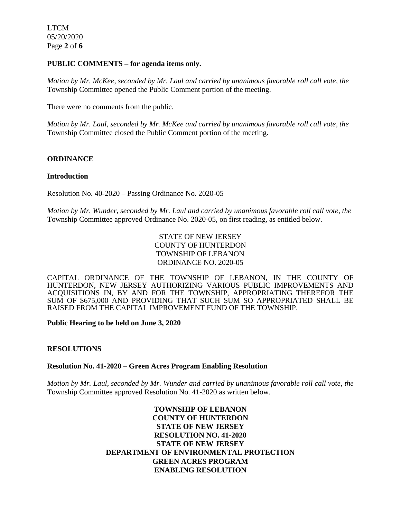LTCM 05/20/2020 Page **2** of **6**

#### **PUBLIC COMMENTS – for agenda items only.**

*Motion by Mr. McKee, seconded by Mr. Laul and carried by unanimous favorable roll call vote, the* Township Committee opened the Public Comment portion of the meeting.

There were no comments from the public.

*Motion by Mr. Laul, seconded by Mr. McKee and carried by unanimous favorable roll call vote, the* Township Committee closed the Public Comment portion of the meeting.

### **ORDINANCE**

#### **Introduction**

Resolution No. 40-2020 – Passing Ordinance No. 2020-05

*Motion by Mr. Wunder, seconded by Mr. Laul and carried by unanimous favorable roll call vote, the* Township Committee approved Ordinance No. 2020-05, on first reading, as entitled below.

> STATE OF NEW JERSEY COUNTY OF HUNTERDON TOWNSHIP OF LEBANON ORDINANCE NO. 2020-05

CAPITAL ORDINANCE OF THE TOWNSHIP OF LEBANON, IN THE COUNTY OF HUNTERDON, NEW JERSEY AUTHORIZING VARIOUS PUBLIC IMPROVEMENTS AND ACQUISITIONS IN, BY AND FOR THE TOWNSHIP, APPROPRIATING THEREFOR THE SUM OF \$675,000 AND PROVIDING THAT SUCH SUM SO APPROPRIATED SHALL BE RAISED FROM THE CAPITAL IMPROVEMENT FUND OF THE TOWNSHIP.

**Public Hearing to be held on June 3, 2020**

### **RESOLUTIONS**

#### **Resolution No. 41-2020 – Green Acres Program Enabling Resolution**

*Motion by Mr. Laul, seconded by Mr. Wunder and carried by unanimous favorable roll call vote, the* Township Committee approved Resolution No. 41-2020 as written below.

> **TOWNSHIP OF LEBANON COUNTY OF HUNTERDON STATE OF NEW JERSEY RESOLUTION NO. 41-2020 STATE OF NEW JERSEY DEPARTMENT OF ENVIRONMENTAL PROTECTION GREEN ACRES PROGRAM ENABLING RESOLUTION**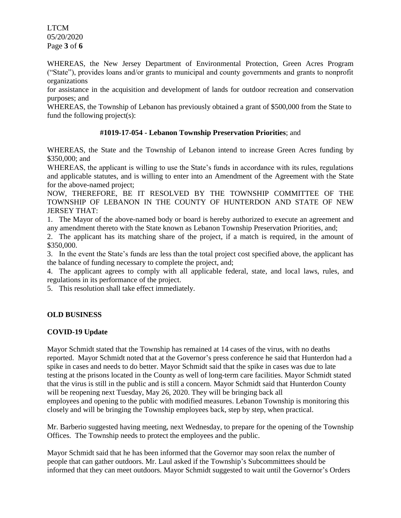LTCM 05/20/2020 Page **3** of **6**

WHEREAS, the New Jersey Department of Environmental Protection, Green Acres Program ("State"), provides loans and/or grants to municipal and county governments and grants to nonprofit organizations

for assistance in the acquisition and development of lands for outdoor recreation and conservation purposes; and

WHEREAS, the Township of Lebanon has previously obtained a grant of \$500,000 from the State to fund the following project(s):

### **#1019-17-054 - Lebanon Township Preservation Priorities**; and

WHEREAS, the State and the Township of Lebanon intend to increase Green Acres funding by \$350,000; and

WHEREAS, the applicant is willing to use the State's funds in accordance with its rules, regulations and applicable statutes, and is willing to enter into an Amendment of the Agreement with the State for the above-named project;

NOW, THEREFORE, BE IT RESOLVED BY THE TOWNSHIP COMMITTEE OF THE TOWNSHIP OF LEBANON IN THE COUNTY OF HUNTERDON AND STATE OF NEW JERSEY THAT:

1. The Mayor of the above-named body or board is hereby authorized to execute an agreement and any amendment thereto with the State known as Lebanon Township Preservation Priorities, and;

2. The applicant has its matching share of the project, if a match is required, in the amount of \$350,000.

3. In the event the State's funds are less than the total project cost specified above, the applicant has the balance of funding necessary to complete the project, and;

4. The applicant agrees to comply with all applicable federal, state, and local laws, rules, and regulations in its performance of the project.

5. This resolution shall take effect immediately.

### **OLD BUSINESS**

### **COVID-19 Update**

Mayor Schmidt stated that the Township has remained at 14 cases of the virus, with no deaths reported. Mayor Schmidt noted that at the Governor's press conference he said that Hunterdon had a spike in cases and needs to do better. Mayor Schmidt said that the spike in cases was due to late testing at the prisons located in the County as well of long-term care facilities. Mayor Schmidt stated that the virus is still in the public and is still a concern. Mayor Schmidt said that Hunterdon County will be reopening next Tuesday, May 26, 2020. They will be bringing back all employees and opening to the public with modified measures. Lebanon Township is monitoring this closely and will be bringing the Township employees back, step by step, when practical.

Mr. Barberio suggested having meeting, next Wednesday, to prepare for the opening of the Township Offices. The Township needs to protect the employees and the public.

Mayor Schmidt said that he has been informed that the Governor may soon relax the number of people that can gather outdoors. Mr. Laul asked if the Township's Subcommittees should be informed that they can meet outdoors. Mayor Schmidt suggested to wait until the Governor's Orders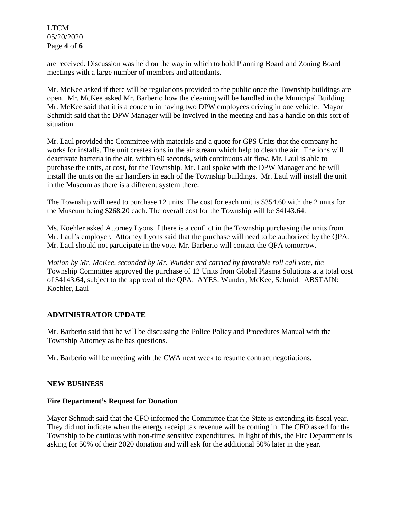LTCM 05/20/2020 Page **4** of **6**

are received. Discussion was held on the way in which to hold Planning Board and Zoning Board meetings with a large number of members and attendants.

Mr. McKee asked if there will be regulations provided to the public once the Township buildings are open. Mr. McKee asked Mr. Barberio how the cleaning will be handled in the Municipal Building. Mr. McKee said that it is a concern in having two DPW employees driving in one vehicle. Mayor Schmidt said that the DPW Manager will be involved in the meeting and has a handle on this sort of situation.

Mr. Laul provided the Committee with materials and a quote for GPS Units that the company he works for installs. The unit creates ions in the air stream which help to clean the air. The ions will deactivate bacteria in the air, within 60 seconds, with continuous air flow. Mr. Laul is able to purchase the units, at cost, for the Township. Mr. Laul spoke with the DPW Manager and he will install the units on the air handlers in each of the Township buildings. Mr. Laul will install the unit in the Museum as there is a different system there.

The Township will need to purchase 12 units. The cost for each unit is \$354.60 with the 2 units for the Museum being \$268.20 each. The overall cost for the Township will be \$4143.64.

Ms. Koehler asked Attorney Lyons if there is a conflict in the Township purchasing the units from Mr. Laul's employer. Attorney Lyons said that the purchase will need to be authorized by the QPA. Mr. Laul should not participate in the vote. Mr. Barberio will contact the QPA tomorrow.

*Motion by Mr. McKee, seconded by Mr. Wunder and carried by favorable roll call vote, the* Township Committee approved the purchase of 12 Units from Global Plasma Solutions at a total cost of \$4143.64, subject to the approval of the QPA. AYES: Wunder, McKee, Schmidt ABSTAIN: Koehler, Laul

### **ADMINISTRATOR UPDATE**

Mr. Barberio said that he will be discussing the Police Policy and Procedures Manual with the Township Attorney as he has questions.

Mr. Barberio will be meeting with the CWA next week to resume contract negotiations.

### **NEW BUSINESS**

### **Fire Department's Request for Donation**

Mayor Schmidt said that the CFO informed the Committee that the State is extending its fiscal year. They did not indicate when the energy receipt tax revenue will be coming in. The CFO asked for the Township to be cautious with non-time sensitive expenditures. In light of this, the Fire Department is asking for 50% of their 2020 donation and will ask for the additional 50% later in the year.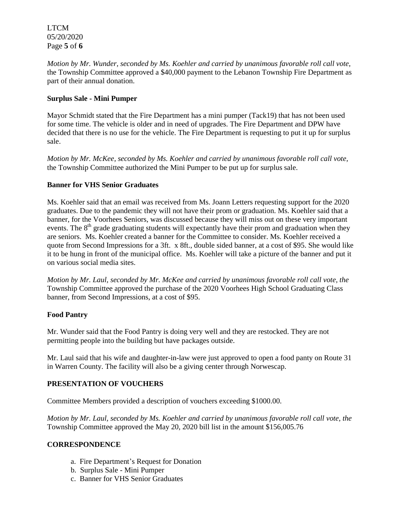LTCM 05/20/2020 Page **5** of **6**

*Motion by Mr. Wunder, seconded by Ms. Koehler and carried by unanimous favorable roll call vote,* the Township Committee approved a \$40,000 payment to the Lebanon Township Fire Department as part of their annual donation.

## **Surplus Sale - Mini Pumper**

Mayor Schmidt stated that the Fire Department has a mini pumper (Tack19) that has not been used for some time. The vehicle is older and in need of upgrades. The Fire Department and DPW have decided that there is no use for the vehicle. The Fire Department is requesting to put it up for surplus sale.

*Motion by Mr. McKee, seconded by Ms. Koehler and carried by unanimous favorable roll call vote,* the Township Committee authorized the Mini Pumper to be put up for surplus sale.

## **Banner for VHS Senior Graduates**

Ms. Koehler said that an email was received from Ms. Joann Letters requesting support for the 2020 graduates. Due to the pandemic they will not have their prom or graduation. Ms. Koehler said that a banner, for the Voorhees Seniors, was discussed because they will miss out on these very important events. The  $8<sup>th</sup>$  grade graduating students will expectantly have their prom and graduation when they are seniors. Ms. Koehler created a banner for the Committee to consider. Ms. Koehler received a quote from Second Impressions for a 3ft. x 8ft., double sided banner, at a cost of \$95. She would like it to be hung in front of the municipal office. Ms. Koehler will take a picture of the banner and put it on various social media sites.

*Motion by Mr. Laul, seconded by Mr. McKee and carried by unanimous favorable roll call vote, the* Township Committee approved the purchase of the 2020 Voorhees High School Graduating Class banner, from Second Impressions, at a cost of \$95.

### **Food Pantry**

Mr. Wunder said that the Food Pantry is doing very well and they are restocked. They are not permitting people into the building but have packages outside.

Mr. Laul said that his wife and daughter-in-law were just approved to open a food panty on Route 31 in Warren County. The facility will also be a giving center through Norwescap.

# **PRESENTATION OF VOUCHERS**

Committee Members provided a description of vouchers exceeding \$1000.00.

*Motion by Mr. Laul, seconded by Ms. Koehler and carried by unanimous favorable roll call vote, the* Township Committee approved the May 20, 2020 bill list in the amount \$156,005.76

### **CORRESPONDENCE**

- a. Fire Department's Request for Donation
- b. Surplus Sale Mini Pumper
- c. Banner for VHS Senior Graduates